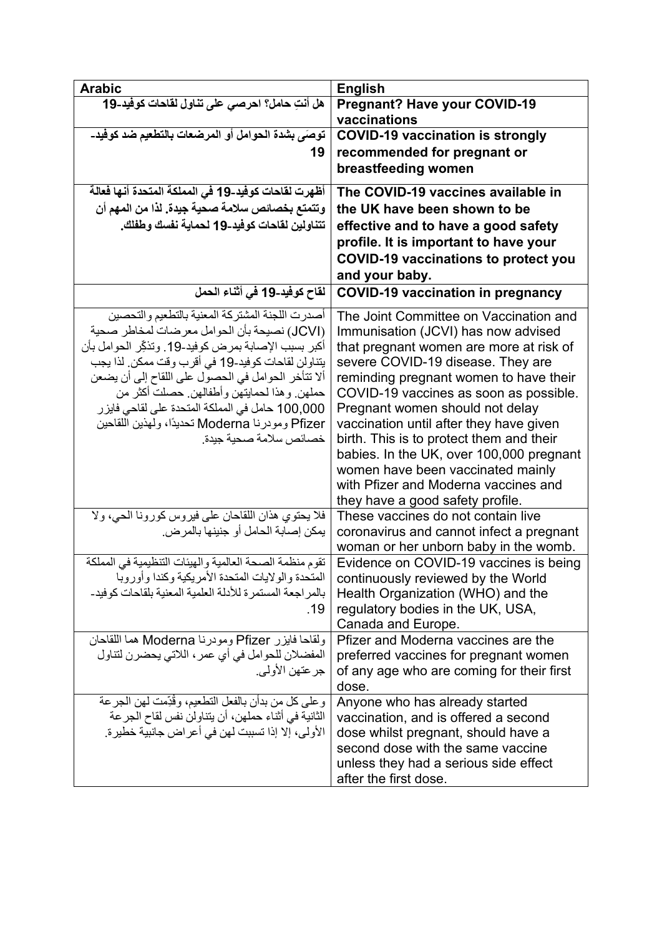| <b>Arabic</b>                                               | <b>English</b>                                                         |
|-------------------------------------------------------------|------------------------------------------------------------------------|
| هل أنتِ حامل؟ احرصى على تناول لقاحات كوفيد-19               | <b>Pregnant? Have your COVID-19</b>                                    |
|                                                             | vaccinations                                                           |
| توصِّي بشدة الحوامل أو المرضعات بالتطعيم ضد كوفيد-          | <b>COVID-19 vaccination is strongly</b>                                |
| 19                                                          | recommended for pregnant or                                            |
|                                                             | breastfeeding women                                                    |
|                                                             |                                                                        |
| أظهرت لقاحات كوفيد-19 في المملكة المتحدة أنها فعالة         | The COVID-19 vaccines available in                                     |
| وتتمتع بخصائص سلامة صحية جيدة. لذا من المهم أن              | the UK have been shown to be                                           |
| تتناولين لقاحات كوفيد-19 لحماية نفسك وطفلك.                 | effective and to have a good safety                                    |
|                                                             | profile. It is important to have your                                  |
|                                                             | <b>COVID-19 vaccinations to protect you</b>                            |
|                                                             | and your baby.                                                         |
| لقاح كوفيد-19 في أثناء الحمل                                | <b>COVID-19 vaccination in pregnancy</b>                               |
| أصدرت اللجنة المشتركة المعنية بالتطعيم والتحصين             | The Joint Committee on Vaccination and                                 |
| (JCVI) نصيحة بأن الحوامل معرضات لمخاطر صحية                 | Immunisation (JCVI) has now advised                                    |
| أكبر بسبب الإصـابـة بمر ض كوفيد-19. وتذكِّر الـحوامل بـأن   | that pregnant women are more at risk of                                |
| يتناولن لقاحات كوفيد-19 في أقرب وقت ممكن. لذا يجب           | severe COVID-19 disease. They are                                      |
| ألا نتأخر الحوامل في الحصول على اللقاح إلى أن يضعن          | reminding pregnant women to have their                                 |
| حملهن وهذا لحمايتهن وأطفالهن حصلت أكثر من                   | COVID-19 vaccines as soon as possible.                                 |
| 100,000 حامل في المملكة المتحدة على لقاحي فايزر             | Pregnant women should not delay                                        |
| Pfizer ومودرنا Moderna تحديدًا، ولهذين اللقاحين             | vaccination until after they have given                                |
| خصائص سلامة صحية جيدة.                                      | birth. This is to protect them and their                               |
|                                                             | babies. In the UK, over 100,000 pregnant                               |
|                                                             | women have been vaccinated mainly                                      |
|                                                             | with Pfizer and Moderna vaccines and                                   |
|                                                             | they have a good safety profile.                                       |
| فلا يحتوي هذان اللقاحان على فيروس كورونا الحي، ولا          | These vaccines do not contain live                                     |
| يمكن إصابة الحامل أو جنينها بالمرض.                         | coronavirus and cannot infect a pregnant                               |
|                                                             | woman or her unborn baby in the womb.                                  |
| تقوم منظمة الصحة العالمية والهيئات التنظيمية في المملكة     | Evidence on COVID-19 vaccines is being                                 |
| المتحدة والولايات المتحدة الأمريكية وكندا وأوروبا           | continuously reviewed by the World                                     |
| بالمر اجعة المستمر ة للأدلة العلمبة المعنبة بلقاحات كو فبد- | Health Organization (WHO) and the                                      |
| .19                                                         | regulatory bodies in the UK, USA,                                      |
|                                                             | Canada and Europe.<br>Pfizer and Moderna vaccines are the              |
| ولقاحا فايزر Pfizer ومودرنا Moderna هما اللقاحان            |                                                                        |
| المفضلان للحوامل في أي عمر ، اللاتي يحضرن لتناول            | preferred vaccines for pregnant women                                  |
| جر عتهن الأولى.                                             | of any age who are coming for their first<br>dose.                     |
| وعلى كل من بدأن بالفعل التطعيم، وقُدِّمت لهن الجرعة         |                                                                        |
| الثانية في أثناء حملهن، أن يتناولن نفس لقاح الجر عة         | Anyone who has already started<br>vaccination, and is offered a second |
| الأولى، إلا إذا تسببت لهن في أعراض جانبية خطير ة.           | dose whilst pregnant, should have a                                    |
|                                                             | second dose with the same vaccine                                      |
|                                                             | unless they had a serious side effect                                  |
|                                                             | after the first dose.                                                  |
|                                                             |                                                                        |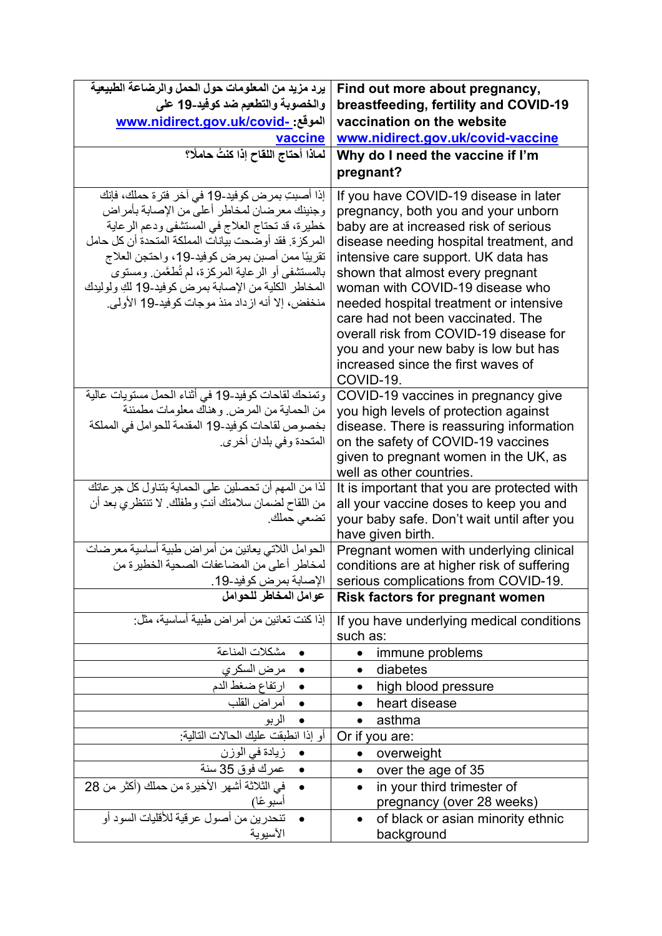| يرد مزيد من المعلومات حول الحمل والرضاعة الطبيعية                                                                                                                                                                                                                                                                                                                                                                        | Find out more about pregnancy,                                                                                                                                                                                                                                                                                                                                                                                                                                                                     |
|--------------------------------------------------------------------------------------------------------------------------------------------------------------------------------------------------------------------------------------------------------------------------------------------------------------------------------------------------------------------------------------------------------------------------|----------------------------------------------------------------------------------------------------------------------------------------------------------------------------------------------------------------------------------------------------------------------------------------------------------------------------------------------------------------------------------------------------------------------------------------------------------------------------------------------------|
| والخصوبة والتطعيم ضد كوفيد-19 على                                                                                                                                                                                                                                                                                                                                                                                        | breastfeeding, fertility and COVID-19                                                                                                                                                                                                                                                                                                                                                                                                                                                              |
| الموقع: -www.nidirect.gov.uk/covid                                                                                                                                                                                                                                                                                                                                                                                       | vaccination on the website                                                                                                                                                                                                                                                                                                                                                                                                                                                                         |
| <u>vaccine</u>                                                                                                                                                                                                                                                                                                                                                                                                           | www.nidirect.gov.uk/covid-vaccine                                                                                                                                                                                                                                                                                                                                                                                                                                                                  |
| لماذا أحتاج اللقاح إذا كنتُ حاملًا؟                                                                                                                                                                                                                                                                                                                                                                                      | Why do I need the vaccine if I'm                                                                                                                                                                                                                                                                                                                                                                                                                                                                   |
|                                                                                                                                                                                                                                                                                                                                                                                                                          | pregnant?                                                                                                                                                                                                                                                                                                                                                                                                                                                                                          |
| إذا أصبتِ بمرض كوفيد-19 في آخر فترة حملك، فإنك<br>وجنينك معرضان لمخاطر أعلى من الإصابة بأمراض<br>خطيرة، قد تحتاج العلاج في المستشفى ودعم الرعاية<br>المركزة. فقد أوضحت بيانات المملكة المتحدة أن كل حامل<br>تقريبًا ممن أصبن بمرض كوفيد-19، واحتجن العلاج<br>بالمستشفى أو الرعاية المركزة، لم تُطعَّمن ومستوى<br>المخاطر الكلية من الإصابة بمرض كوفيد-19 لكِ ولوليدك<br>منخفض، إلا أنه از داد منذ موجات كوفيد-19 الأولى. | If you have COVID-19 disease in later<br>pregnancy, both you and your unborn<br>baby are at increased risk of serious<br>disease needing hospital treatment, and<br>intensive care support. UK data has<br>shown that almost every pregnant<br>woman with COVID-19 disease who<br>needed hospital treatment or intensive<br>care had not been vaccinated. The<br>overall risk from COVID-19 disease for<br>you and your new baby is low but has<br>increased since the first waves of<br>COVID-19. |
| وتمنحك لقاحات كوفيد-19 في أثناء الحمل مستويات عالية<br>من الحماية من المرض. وهناك معلومات مطمئنة<br>بخصوص لقاحات كوفيد-19 المقدمة للحوامل في المملكة<br>المتحدة وفي بلدان أخرى.                                                                                                                                                                                                                                          | COVID-19 vaccines in pregnancy give<br>you high levels of protection against<br>disease. There is reassuring information<br>on the safety of COVID-19 vaccines<br>given to pregnant women in the UK, as                                                                                                                                                                                                                                                                                            |
| لذا من المهم أن تحصلين على الحماية بتناول كل جر عاتك<br>من اللقاح لضمان سلامتك أنتِ وطفلك. لا تنتظري بعد أن<br>تضعي حملك.                                                                                                                                                                                                                                                                                                | well as other countries.<br>It is important that you are protected with<br>all your vaccine doses to keep you and<br>your baby safe. Don't wait until after you<br>have given birth.                                                                                                                                                                                                                                                                                                               |
| الحوامل اللاتي يعانين من أمراض طبية أساسية معرضات<br>لمخاطر أعلى من المضاعفات الصحية الخطيرة من<br>الإصابة بمرض كوفيد-19.                                                                                                                                                                                                                                                                                                | Pregnant women with underlying clinical<br>conditions are at higher risk of suffering<br>serious complications from COVID-19.                                                                                                                                                                                                                                                                                                                                                                      |
| عوامل المخاطر للحوامل                                                                                                                                                                                                                                                                                                                                                                                                    | <b>Risk factors for pregnant women</b>                                                                                                                                                                                                                                                                                                                                                                                                                                                             |
| إذا كنت تعانين من أمر اض طبية أساسية، مثل:                                                                                                                                                                                                                                                                                                                                                                               | If you have underlying medical conditions<br>such as:                                                                                                                                                                                                                                                                                                                                                                                                                                              |
| مشكلات المناعة                                                                                                                                                                                                                                                                                                                                                                                                           | immune problems<br>$\bullet$                                                                                                                                                                                                                                                                                                                                                                                                                                                                       |
| مرض السكر ي                                                                                                                                                                                                                                                                                                                                                                                                              | diabetes                                                                                                                                                                                                                                                                                                                                                                                                                                                                                           |
| • ارتفاع ضغط الدم                                                                                                                                                                                                                                                                                                                                                                                                        | high blood pressure<br>$\bullet$                                                                                                                                                                                                                                                                                                                                                                                                                                                                   |
| • أمراض القلب                                                                                                                                                                                                                                                                                                                                                                                                            | heart disease                                                                                                                                                                                                                                                                                                                                                                                                                                                                                      |
| الربو                                                                                                                                                                                                                                                                                                                                                                                                                    | asthma                                                                                                                                                                                                                                                                                                                                                                                                                                                                                             |
| أو إذا انطبقت عليك الحالات التالية:                                                                                                                                                                                                                                                                                                                                                                                      | Or if you are:                                                                                                                                                                                                                                                                                                                                                                                                                                                                                     |
| زيادة في الوزن                                                                                                                                                                                                                                                                                                                                                                                                           | overweight                                                                                                                                                                                                                                                                                                                                                                                                                                                                                         |
| عمرك فوق 35 سنة                                                                                                                                                                                                                                                                                                                                                                                                          | over the age of 35<br>$\bullet$                                                                                                                                                                                                                                                                                                                                                                                                                                                                    |
| في الثلاثة أشهر الأخيرة من حملك (أكثر من 28                                                                                                                                                                                                                                                                                                                                                                              | in your third trimester of                                                                                                                                                                                                                                                                                                                                                                                                                                                                         |
| أسبو عًا)                                                                                                                                                                                                                                                                                                                                                                                                                | pregnancy (over 28 weeks)                                                                                                                                                                                                                                                                                                                                                                                                                                                                          |
| تنحدرين من أصول عرقية للأقليات السود أو<br>الأسيوية                                                                                                                                                                                                                                                                                                                                                                      | of black or asian minority ethnic<br>background                                                                                                                                                                                                                                                                                                                                                                                                                                                    |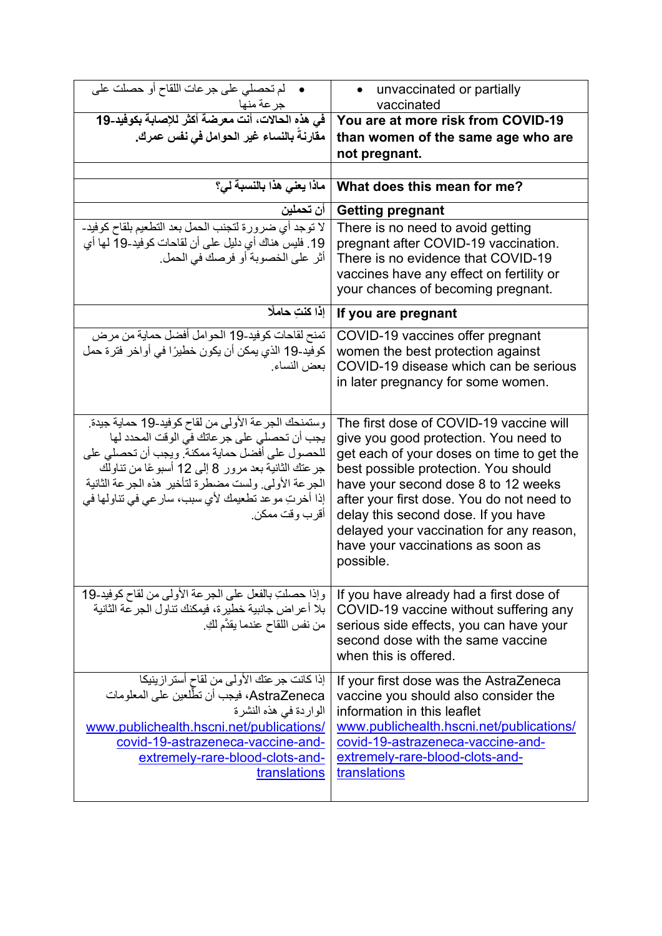| لم تحصلي على جرعات اللقاح أو حصلت على                                                                                                                                                                                                                                                                                                     | unvaccinated or partially<br>$\bullet$                                                                                                                                                                                                                                                                                                                                                         |
|-------------------------------------------------------------------------------------------------------------------------------------------------------------------------------------------------------------------------------------------------------------------------------------------------------------------------------------------|------------------------------------------------------------------------------------------------------------------------------------------------------------------------------------------------------------------------------------------------------------------------------------------------------------------------------------------------------------------------------------------------|
| جرعة منها                                                                                                                                                                                                                                                                                                                                 | vaccinated                                                                                                                                                                                                                                                                                                                                                                                     |
| في هذه الحالات، أنت معرضة أكثر للإصابة بكوفيد-19<br>مقارنة بالنساء غير الحوامل في نفس عمرك.                                                                                                                                                                                                                                               | You are at more risk from COVID-19<br>than women of the same age who are                                                                                                                                                                                                                                                                                                                       |
|                                                                                                                                                                                                                                                                                                                                           | not pregnant.                                                                                                                                                                                                                                                                                                                                                                                  |
|                                                                                                                                                                                                                                                                                                                                           |                                                                                                                                                                                                                                                                                                                                                                                                |
| ماذا يعنى هذا بالنسبة لي؟                                                                                                                                                                                                                                                                                                                 | What does this mean for me?                                                                                                                                                                                                                                                                                                                                                                    |
| أن تحملين                                                                                                                                                                                                                                                                                                                                 | <b>Getting pregnant</b>                                                                                                                                                                                                                                                                                                                                                                        |
| لا توجد أي ضرورة لتجنب الحمل بعد التطعيم بلقاح كوفيد-<br>19. فليس هناك أي دليل على أن لقاحات كوفيد-19 لها أي<br>أثر على الخصوبة أو فرصك في الحمل.                                                                                                                                                                                         | There is no need to avoid getting<br>pregnant after COVID-19 vaccination.<br>There is no evidence that COVID-19<br>vaccines have any effect on fertility or<br>your chances of becoming pregnant.                                                                                                                                                                                              |
| إذا كنتِ حاملًا                                                                                                                                                                                                                                                                                                                           | If you are pregnant                                                                                                                                                                                                                                                                                                                                                                            |
| تمنح لقاحات كوفيد-19 الحوامل أفضل حماية من مرض<br>كوفيد-19 الذي يمكن أن يكون خطيرًا في أواخر فترة حمل<br>بعض النساء.                                                                                                                                                                                                                      | COVID-19 vaccines offer pregnant<br>women the best protection against<br>COVID-19 disease which can be serious<br>in later pregnancy for some women.                                                                                                                                                                                                                                           |
| وستمنحك الجرعة الأولى من لقاح كوفيد-19 حماية جيدة.<br>يجب أن تحصلي على جر عاتك في الوقت المحدد لها<br>للحصول على أفضل حماية ممكنة. ويجب أن تحصلي على<br>جر عنك الثانية بعد مرور 8 إلى 12 أسبوعًا من تناولك<br>الجرعة الأولى ولست مضطرة لتأخير هذه الجرعة الثانية<br>إذا أخرتِ موعد تطعيمك لأي سبب، سار عي في تناولها في<br>أقرب وقت ممكن. | The first dose of COVID-19 vaccine will<br>give you good protection. You need to<br>get each of your doses on time to get the<br>best possible protection. You should<br>have your second dose 8 to 12 weeks<br>after your first dose. You do not need to<br>delay this second dose. If you have<br>delayed your vaccination for any reason,<br>have your vaccinations as soon as<br>possible. |
| وإذا حصلتِ بالفعل على الجرعة الأولى من لقاح كوفيد-19<br>بلا أعر اض جانبية خطير ة، فيمكنك تناول الجر عة الثانية<br>من نفس اللقاح عندما يقدَّم لَكِ.                                                                                                                                                                                        | If you have already had a first dose of<br>COVID-19 vaccine without suffering any<br>serious side effects, you can have your<br>second dose with the same vaccine<br>when this is offered.                                                                                                                                                                                                     |
| إذا كانت جر عتك الأولى من لقاح أستر از ينيكا<br>AstraZeneca، فيجب أن تطّلعين على المعلومات<br>الواردة في هذه النشرة<br>www.publichealth.hscni.net/publications/<br>covid-19-astrazeneca-vaccine-and-<br>extremely-rare-blood-clots-and-<br>translations                                                                                   | If your first dose was the AstraZeneca<br>vaccine you should also consider the<br>information in this leaflet<br>www.publichealth.hscni.net/publications/<br>covid-19-astrazeneca-vaccine-and-<br>extremely-rare-blood-clots-and-<br>translations                                                                                                                                              |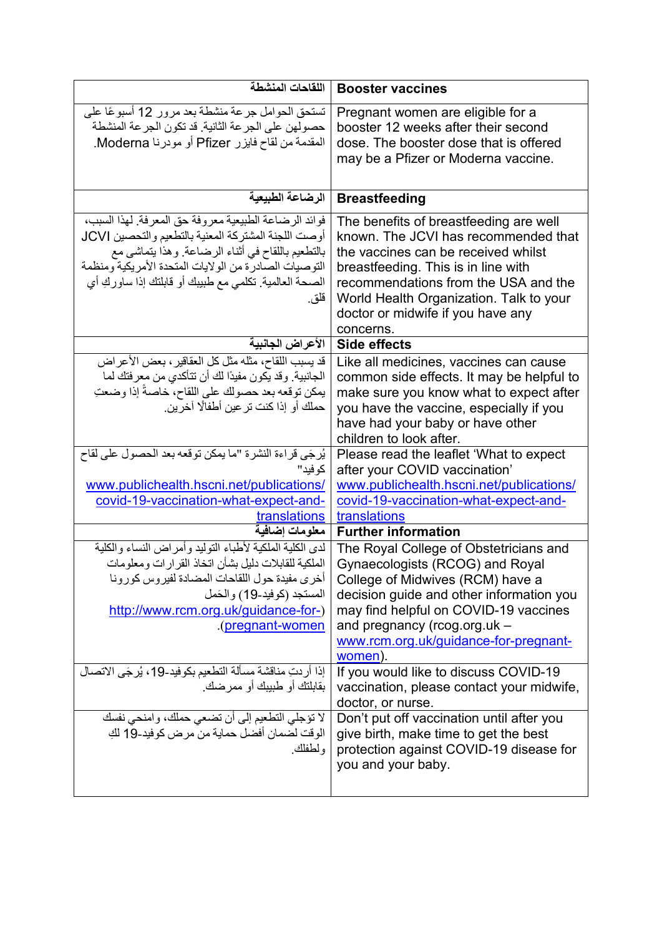| اللقاحات المنشطة                                                                                                                                                                                                                                                                                                                                                                                                                                               | <b>Booster vaccines</b>                                                                                                                                                                                                                                                                                                                                                                                                                                                                             |
|----------------------------------------------------------------------------------------------------------------------------------------------------------------------------------------------------------------------------------------------------------------------------------------------------------------------------------------------------------------------------------------------------------------------------------------------------------------|-----------------------------------------------------------------------------------------------------------------------------------------------------------------------------------------------------------------------------------------------------------------------------------------------------------------------------------------------------------------------------------------------------------------------------------------------------------------------------------------------------|
| تستحق الحوامل جرعة منشطة بعد مرور 12 أسبوعًا على<br>حصولهن على الجرعة الثانية. قد تكون الجرعة المنشطة<br>المقدمة من لقاح فايزر Pfizer أو مودرنا Moderna.                                                                                                                                                                                                                                                                                                       | Pregnant women are eligible for a<br>booster 12 weeks after their second<br>dose. The booster dose that is offered<br>may be a Pfizer or Moderna vaccine.                                                                                                                                                                                                                                                                                                                                           |
| الرضاعة الطبيعية                                                                                                                                                                                                                                                                                                                                                                                                                                               | <b>Breastfeeding</b>                                                                                                                                                                                                                                                                                                                                                                                                                                                                                |
| فوائد الرضاعة الطبيعية معروفة حق المعرفة. لهذا السبب،<br>أوصت اللجنة المشتركة المعنية بالتطعيم والتحصين JCVI<br>بالتطعيم باللقاح في أثناء الرضاعة. وهذا يتماشى مع<br>التوصيات الصادرة من الولايات المتحدة الأمريكية ومنظمة<br>الصحة العالمية. تكلمي مع طبيبك أو قابلتك إذا ساوركِ أي<br>قلق.                                                                                                                                                                   | The benefits of breastfeeding are well<br>known. The JCVI has recommended that<br>the vaccines can be received whilst<br>breastfeeding. This is in line with<br>recommendations from the USA and the<br>World Health Organization. Talk to your<br>doctor or midwife if you have any<br>concerns.                                                                                                                                                                                                   |
| الأعراض الجانبية                                                                                                                                                                                                                                                                                                                                                                                                                                               | Side effects                                                                                                                                                                                                                                                                                                                                                                                                                                                                                        |
| قد يسبب اللقاح، مثله مثل كل العقاقير ، بعض الأعراض<br>الجانبية. وقد يكون مفيدًا لك أن تتأكدي من معرفتك لما<br>يمكن توقعه بعد حصولك على اللقاح، خاصةً إذا وضعتِ<br>حملك أو إذا كنت تر عين أطفالًا آخرين.                                                                                                                                                                                                                                                        | Like all medicines, vaccines can cause<br>common side effects. It may be helpful to<br>make sure you know what to expect after<br>you have the vaccine, especially if you<br>have had your baby or have other<br>children to look after.                                                                                                                                                                                                                                                            |
| يُرجَى قراءة النشرة "ما يمكن توقعه بعد الحصول على لقاح<br>کو فید"<br>www.publichealth.hscni.net/publications/<br>covid-19-vaccination-what-expect-and-<br>translations                                                                                                                                                                                                                                                                                         | Please read the leaflet 'What to expect<br>after your COVID vaccination'<br>www.publichealth.hscni.net/publications/<br>covid-19-vaccination-what-expect-and-<br>translations                                                                                                                                                                                                                                                                                                                       |
| معلومات إضافية                                                                                                                                                                                                                                                                                                                                                                                                                                                 | <b>Further information</b>                                                                                                                                                                                                                                                                                                                                                                                                                                                                          |
| لدى الكلية الملكية لأطباء التوليد وأمر اض النساء والكلية<br>الملكية للقابلات دليل بشأن اتخاذ القر ارات ومعلومات<br>اخرى مفيدة حول اللقاحات المضادة لفيروس كورونا<br>المستجد (كوفيد-19) والحَمل<br>http://www.rcm.org.uk/guidance-for-)<br><u>(pregnant-women)</u> .<br>إذا أردتِ مناقشة مسألة التطعيم بكوفيد-19، يُرجَى الاتصال<br>بقابلتك أو طبيبك أو ممر ضك.<br>لا تؤجلي التطعيم إلى أن تضعي حملك، وامنحي نفسك<br>الوقت لضمان أفضل حماية من مرض كوفيد-19 لكِ | The Royal College of Obstetricians and<br>Gynaecologists (RCOG) and Royal<br>College of Midwives (RCM) have a<br>decision guide and other information you<br>may find helpful on COVID-19 vaccines<br>and pregnancy ( $r \text{cog.org}$ .uk -<br>www.rcm.org.uk/guidance-for-pregnant-<br>women).<br>If you would like to discuss COVID-19<br>vaccination, please contact your midwife,<br>doctor, or nurse.<br>Don't put off vaccination until after you<br>give birth, make time to get the best |
| و لطفلك.                                                                                                                                                                                                                                                                                                                                                                                                                                                       | protection against COVID-19 disease for<br>you and your baby.                                                                                                                                                                                                                                                                                                                                                                                                                                       |